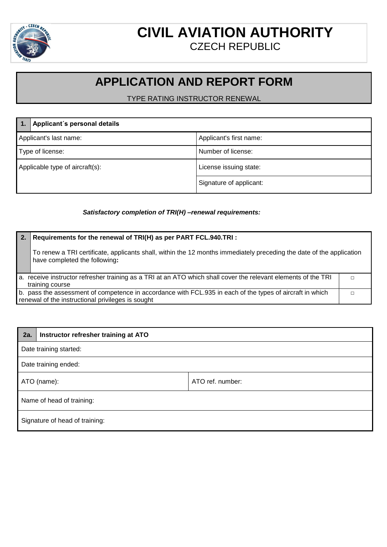

## **CIVIL AVIATION AUTHORITY** CZECH REPUBLIC

## **APPLICATION AND REPORT FORM**

TYPE RATING INSTRUCTOR RENEWAL

|                                 | Applicant's personal details |                         |
|---------------------------------|------------------------------|-------------------------|
| Applicant's last name:          |                              | Applicant's first name: |
| Type of license:                |                              | Number of license:      |
| Applicable type of aircraft(s): |                              | License issuing state:  |
|                                 |                              | Signature of applicant: |

## *Satisfactory completion of TRI(H) –renewal requirements:*

| 2. | Requirements for the renewal of TRI(H) as per PART FCL.940.TRI :                                                                                               |  |  |
|----|----------------------------------------------------------------------------------------------------------------------------------------------------------------|--|--|
|    | To renew a TRI certificate, applicants shall, within the 12 months immediately preceding the date of the application<br>have completed the following:          |  |  |
|    | a. receive instructor refresher training as a TRI at an ATO which shall cover the relevant elements of the TRI<br>training course                              |  |  |
|    |                                                                                                                                                                |  |  |
|    | b. pass the assessment of competence in accordance with FCL.935 in each of the types of aircraft in which<br>renewal of the instructional privileges is sought |  |  |

| 2a.                            | Instructor refresher training at ATO |                  |
|--------------------------------|--------------------------------------|------------------|
| Date training started:         |                                      |                  |
| Date training ended:           |                                      |                  |
| ATO (name):                    |                                      | ATO ref. number: |
| Name of head of training:      |                                      |                  |
| Signature of head of training: |                                      |                  |